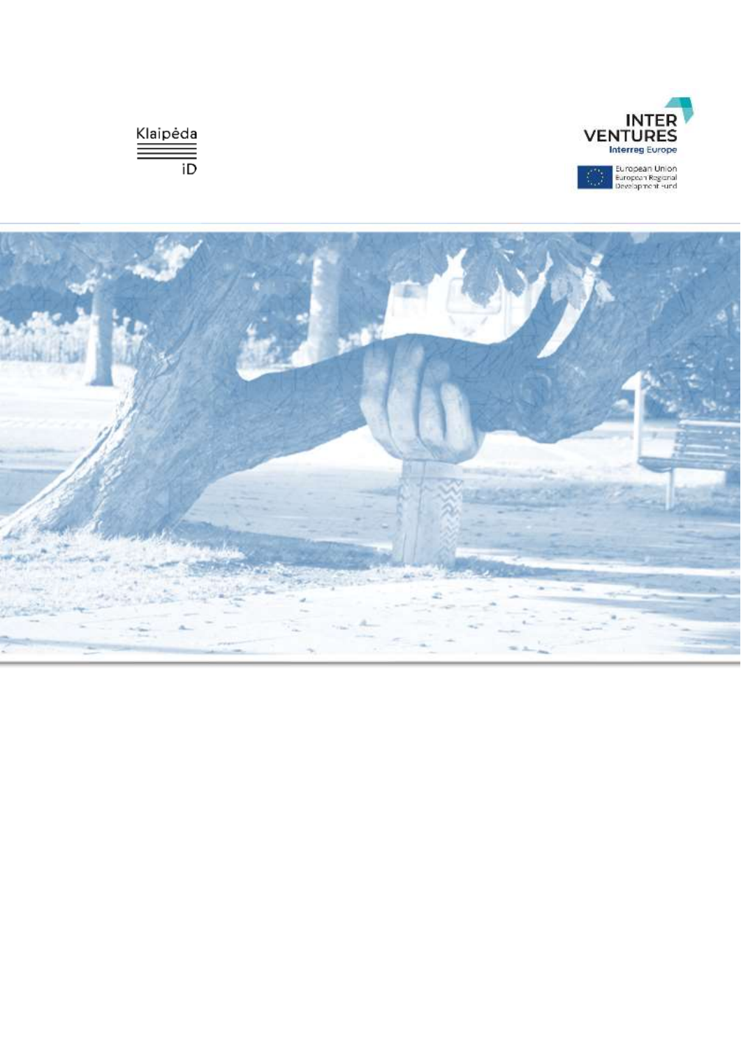



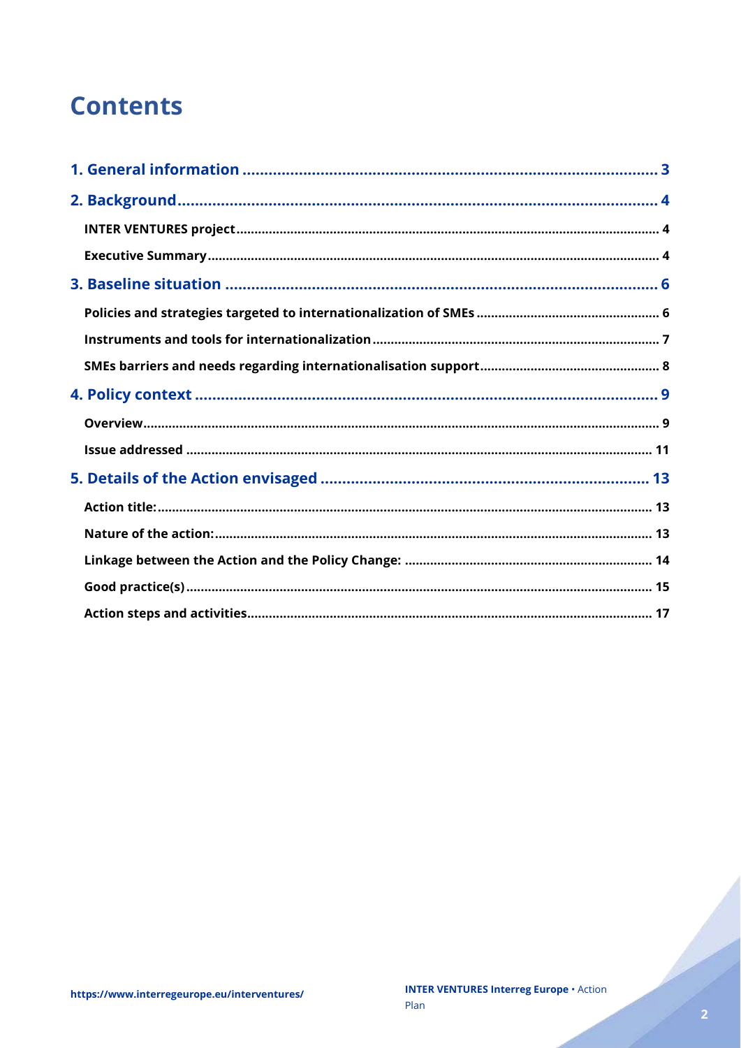## **Contents**

Charles Corporation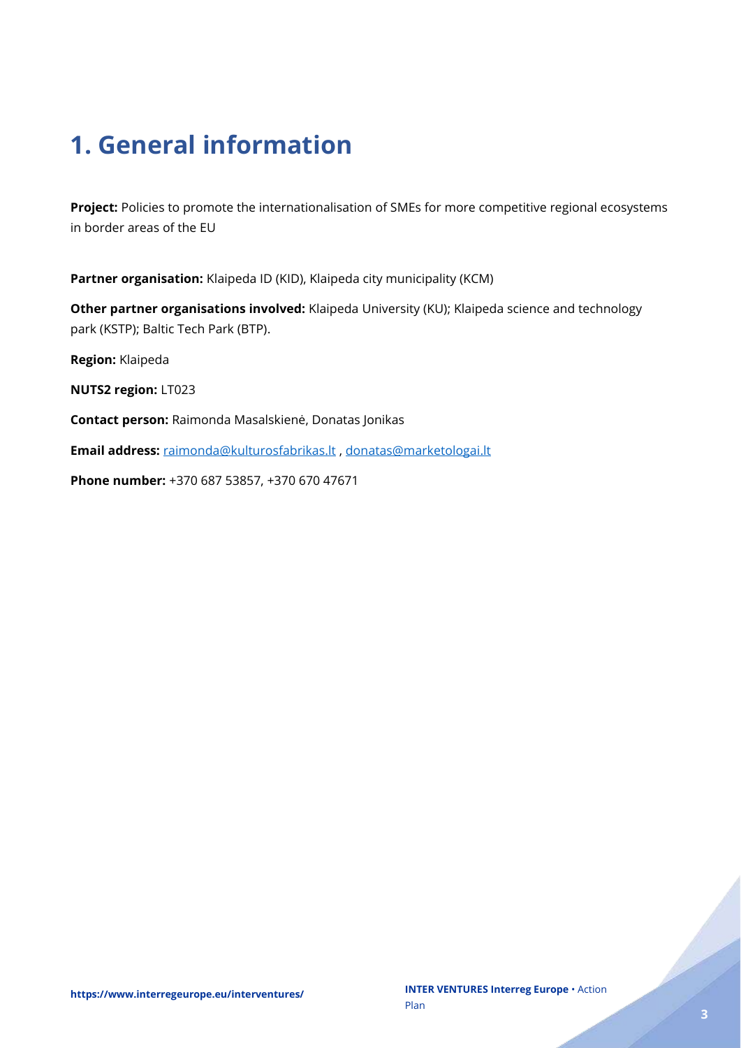# <span id="page-2-0"></span>**1. General information**

**Project:** Policies to promote the internationalisation of SMEs for more competitive regional ecosystems in border areas of the EU

**Partner organisation:** Klaipeda ID (KID), Klaipeda city municipality (KCM)

**Other partner organisations involved:** Klaipeda University (KU); Klaipeda science and technology park (KSTP); Baltic Tech Park (BTP).

**Region:** Klaipeda

**NUTS2 region:** LT023

**Contact person:** Raimonda Masalskienė, Donatas Jonikas

**Email address:** [raimonda@kulturosfabrikas.lt](mailto:raimonda@kulturosfabrikas.lt) , [donatas@marketologai.lt](mailto:donatas@marketologai.lt)

**Phone number:** +370 687 53857, +370 670 47671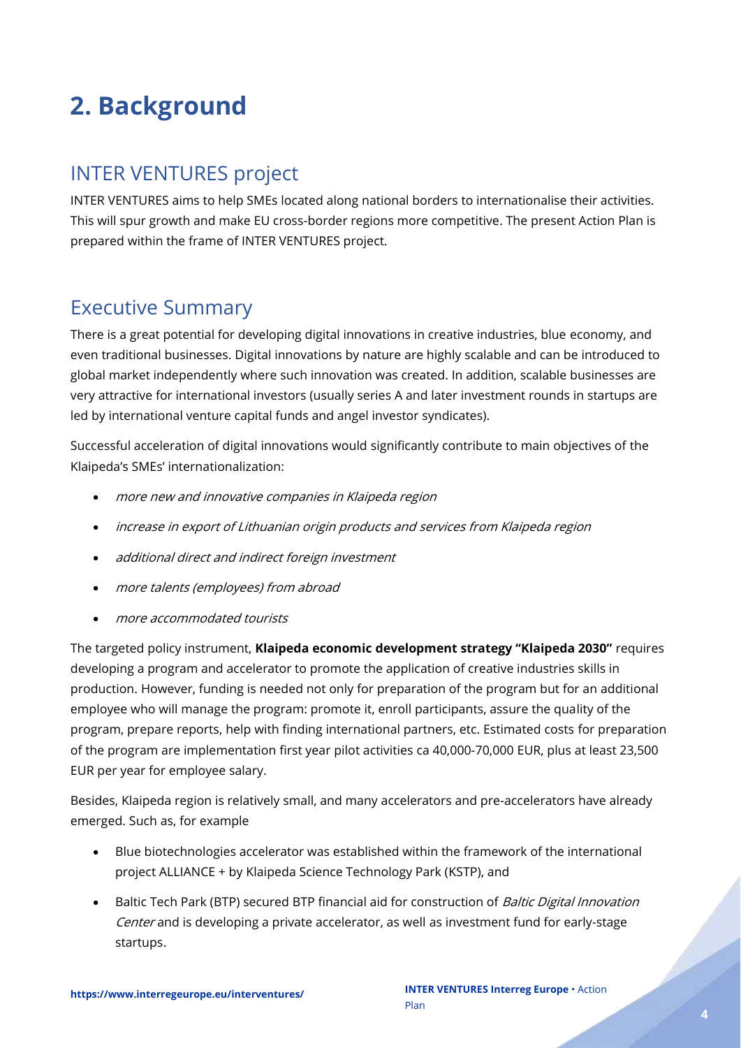# <span id="page-3-0"></span>**2. Background**

### <span id="page-3-1"></span>INTER VENTURES project

INTER VENTURES aims to help SMEs located along national borders to internationalise their activities. This will spur growth and make EU cross-border regions more competitive. The present Action Plan is prepared within the frame of INTER VENTURES project.

### <span id="page-3-2"></span>Executive Summary

There is a great potential for developing digital innovations in creative industries, blue economy, and even traditional businesses. Digital innovations by nature are highly scalable and can be introduced to global market independently where such innovation was created. In addition, scalable businesses are very attractive for international investors (usually series A and later investment rounds in startups are led by international venture capital funds and angel investor syndicates).

Successful acceleration of digital innovations would significantly contribute to main objectives of the Klaipeda's SMEs' internationalization:

- more new and innovative companies in Klaipeda region
- increase in export of Lithuanian origin products and services from Klaipeda region
- additional direct and indirect foreign investment
- more talents (employees) from abroad
- more accommodated tourists

The targeted policy instrument, **Klaipeda economic development strategy "Klaipeda 2030"** requires developing a program and accelerator to promote the application of creative industries skills in production. However, funding is needed not only for preparation of the program but for an additional employee who will manage the program: promote it, enroll participants, assure the quality of the program, prepare reports, help with finding international partners, etc. Estimated costs for preparation of the program are implementation first year pilot activities ca 40,000-70,000 EUR, plus at least 23,500 EUR per year for employee salary.

Besides, Klaipeda region is relatively small, and many accelerators and pre-accelerators have already emerged. Such as, for example

- Blue biotechnologies accelerator was established within the framework of the international project ALLIANCE + by Klaipeda Science Technology Park (KSTP), and
- Baltic Tech Park (BTP) secured BTP financial aid for construction of *Baltic Digital Innovation* Center and is developing a private accelerator, as well as investment fund for early-stage startups.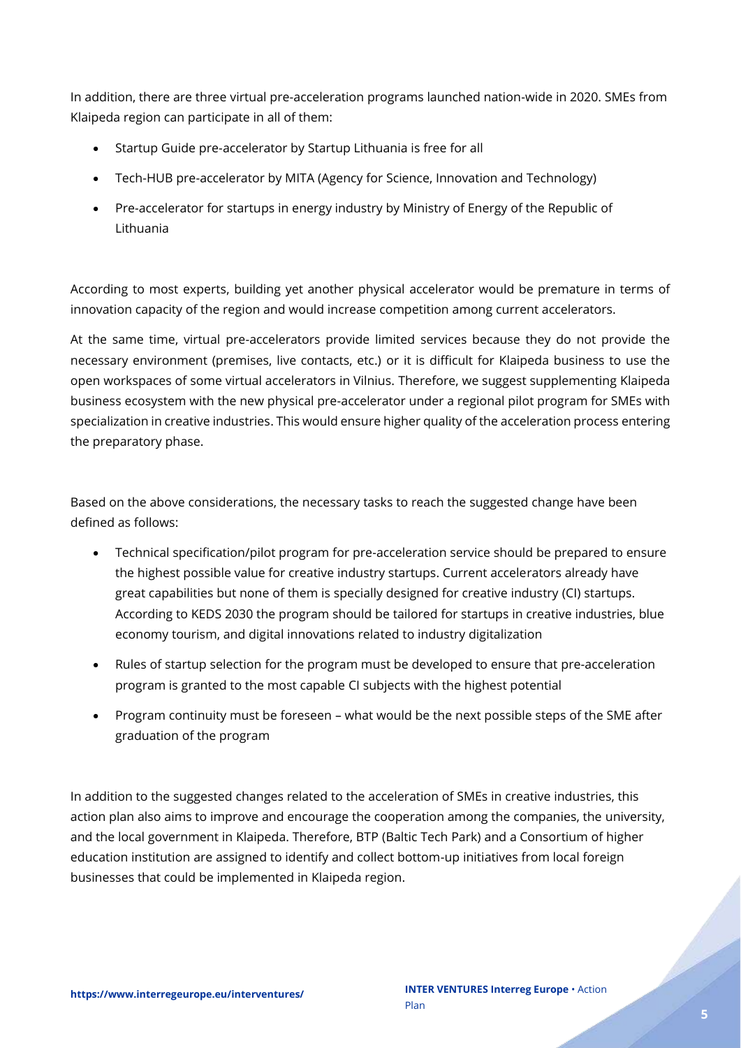In addition, there are three virtual pre-acceleration programs launched nation-wide in 2020. SMEs from Klaipeda region can participate in all of them:

- Startup Guide pre-accelerator by Startup Lithuania is free for all
- Tech-HUB pre-accelerator by MITA (Agency for Science, Innovation and Technology)
- Pre-accelerator for startups in energy industry by Ministry of Energy of the Republic of Lithuania

According to most experts, building yet another physical accelerator would be premature in terms of innovation capacity of the region and would increase competition among current accelerators.

At the same time, virtual pre-accelerators provide limited services because they do not provide the necessary environment (premises, live contacts, etc.) or it is difficult for Klaipeda business to use the open workspaces of some virtual accelerators in Vilnius. Therefore, we suggest supplementing Klaipeda business ecosystem with the new physical pre-accelerator under a regional pilot program for SMEs with specialization in creative industries. This would ensure higher quality of the acceleration process entering the preparatory phase.

Based on the above considerations, the necessary tasks to reach the suggested change have been defined as follows:

- Technical specification/pilot program for pre-acceleration service should be prepared to ensure the highest possible value for creative industry startups. Current accelerators already have great capabilities but none of them is specially designed for creative industry (CI) startups. According to KEDS 2030 the program should be tailored for startups in creative industries, blue economy tourism, and digital innovations related to industry digitalization
- Rules of startup selection for the program must be developed to ensure that pre-acceleration program is granted to the most capable CI subjects with the highest potential
- Program continuity must be foreseen what would be the next possible steps of the SME after graduation of the program

In addition to the suggested changes related to the acceleration of SMEs in creative industries, this action plan also aims to improve and encourage the cooperation among the companies, the university, and the local government in Klaipeda. Therefore, BTP (Baltic Tech Park) and a Consortium of higher education institution are assigned to identify and collect bottom-up initiatives from local foreign businesses that could be implemented in Klaipeda region.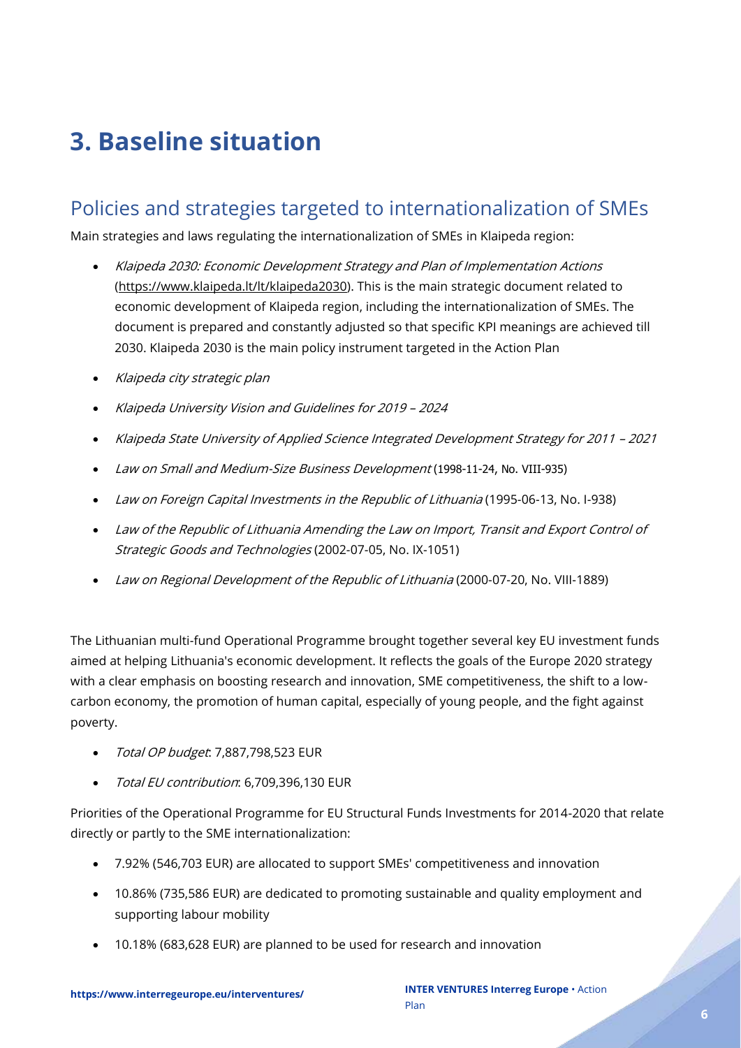# <span id="page-5-0"></span>**3. Baseline situation**

### <span id="page-5-1"></span>Policies and strategies targeted to internationalization of SMEs

Main strategies and laws regulating the internationalization of SMEs in Klaipeda region:

- Klaipeda 2030: Economic Development Strategy and Plan of Implementation Actions [\(https://www.klaipeda.lt/lt/klaipeda2030\)](https://www.klaipeda.lt/lt/klaipeda2030). This is the main strategic document related to economic development of Klaipeda region, including the internationalization of SMEs. The document is prepared and constantly adjusted so that specific KPI meanings are achieved till 2030. Klaipeda 2030 is the main policy instrument targeted in the Action Plan
- Klaipeda city strategic plan
- Klaipeda University Vision and Guidelines for 2019 <sup>2024</sup>
- Klaipeda State University of Applied Science Integrated Development Strategy for 2011 <sup>2021</sup>
- Law on Small and Medium-Size Business Development (1998-11-24, No. VIII-935)
- Law on Foreign Capital Investments in the Republic of Lithuania (1995-06-13, No. 1-938)
- Law of the Republic of Lithuania Amending the Law on Import, Transit and Export Control of Strategic Goods and Technologies (2002-07-05, No. IX-1051)
- Law on Regional Development of the Republic of Lithuania (2000-07-20, No. VIII-1889)

The Lithuanian multi-fund Operational Programme brought together several key EU investment funds aimed at helping Lithuania's economic development. It reflects the goals of the Europe 2020 strategy with a clear emphasis on boosting research and innovation, SME competitiveness, the shift to a lowcarbon economy, the promotion of human capital, especially of young people, and the fight against poverty.

- Total OP budget: 7,887,798,523 EUR
- Total EU contribution: 6,709,396,130 EUR

Priorities of the Operational Programme for EU Structural Funds Investments for 2014-2020 that relate directly or partly to the SME internationalization:

- 7.92% (546,703 EUR) are allocated to support SMEs' competitiveness and innovation
- 10.86% (735,586 EUR) are dedicated to promoting sustainable and quality employment and supporting labour mobility
- 10.18% (683,628 EUR) are planned to be used for research and innovation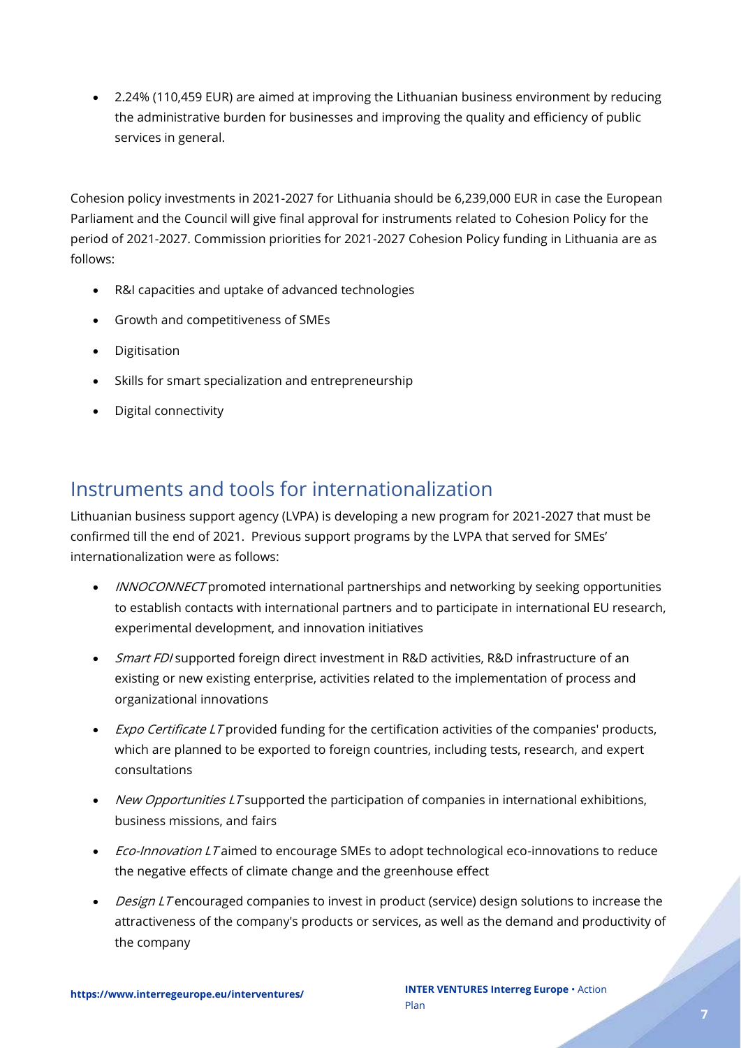• 2.24% (110,459 EUR) are aimed at improving the Lithuanian business environment by reducing the administrative burden for businesses and improving the quality and efficiency of public services in general.

Cohesion policy investments in 2021-2027 for Lithuania should be 6,239,000 EUR in case the European Parliament and the Council will give final approval for instruments related to Cohesion Policy for the period of 2021-2027. Commission priorities for 2021-2027 Cohesion Policy funding in Lithuania are as follows:

- R&I capacities and uptake of advanced technologies
- Growth and competitiveness of SMEs
- Digitisation
- Skills for smart specialization and entrepreneurship
- Digital connectivity

### <span id="page-6-0"></span>Instruments and tools for internationalization

Lithuanian business support agency (LVPA) is developing a new program for 2021-2027 that must be confirmed till the end of 2021. Previous support programs by the LVPA that served for SMEs' internationalization were as follows:

- *INNOCONNECT* promoted international partnerships and networking by seeking opportunities to establish contacts with international partners and to participate in international EU research, experimental development, and innovation initiatives
- Smart FDI supported foreign direct investment in R&D activities, R&D infrastructure of an existing or new existing enterprise, activities related to the implementation of process and organizational innovations
- *Expo Certificate LT* provided funding for the certification activities of the companies' products, which are planned to be exported to foreign countries, including tests, research, and expert consultations
- New Opportunities LT supported the participation of companies in international exhibitions, business missions, and fairs
- *Eco-Innovation LT* aimed to encourage SMEs to adopt technological eco-innovations to reduce the negative effects of climate change and the greenhouse effect
- Design LT encouraged companies to invest in product (service) design solutions to increase the attractiveness of the company's products or services, as well as the demand and productivity of the company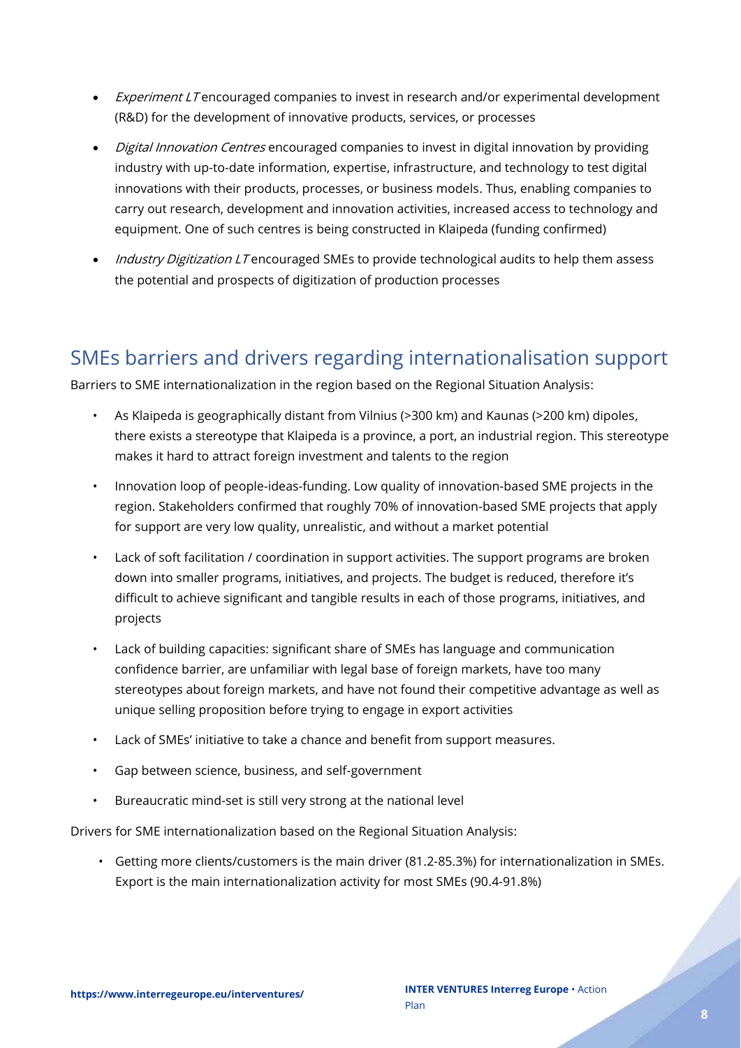- Experiment LT encouraged companies to invest in research and/or experimental development (R&D) for the development of innovative products, services, or processes
- *Digital Innovation Centres* encouraged companies to invest in digital innovation by providing industry with up-to-date information, expertise, infrastructure, and technology to test digital innovations with their products, processes, or business models. Thus, enabling companies to carry out research, development and innovation activities, increased access to technology and equipment. One of such centres is being constructed in Klaipeda (funding confirmed)
- *Industry Digitization LT* encouraged SMEs to provide technological audits to help them assess the potential and prospects of digitization of production processes

### <span id="page-7-0"></span>SMEs barriers and drivers regarding internationalisation support

Barriers to SME internationalization in the region based on the Regional Situation Analysis:

- As Klaipeda is geographically distant from Vilnius (>300 km) and Kaunas (>200 km) dipoles, there exists a stereotype that Klaipeda is a province, a port, an industrial region. This stereotype makes it hard to attract foreign investment and talents to the region
- Innovation loop of people-ideas-funding. Low quality of innovation-based SME projects in the region. Stakeholders confirmed that roughly 70% of innovation-based SME projects that apply for support are very low quality, unrealistic, and without a market potential
- Lack of soft facilitation / coordination in support activities. The support programs are broken down into smaller programs, initiatives, and projects. The budget is reduced, therefore it's difficult to achieve significant and tangible results in each of those programs, initiatives, and projects
- Lack of building capacities: significant share of SMEs has language and communication confidence barrier, are unfamiliar with legal base of foreign markets, have too many stereotypes about foreign markets, and have not found their competitive advantage as well as unique selling proposition before trying to engage in export activities
- Lack of SMEs' initiative to take a chance and benefit from support measures.
- Gap between science, business, and self-government
- Bureaucratic mind-set is still very strong at the national level

Drivers for SME internationalization based on the Regional Situation Analysis:

• Getting more clients/customers is the main driver (81.2-85.3%) for internationalization in SMEs. Export is the main internationalization activity for most SMEs (90.4-91.8%)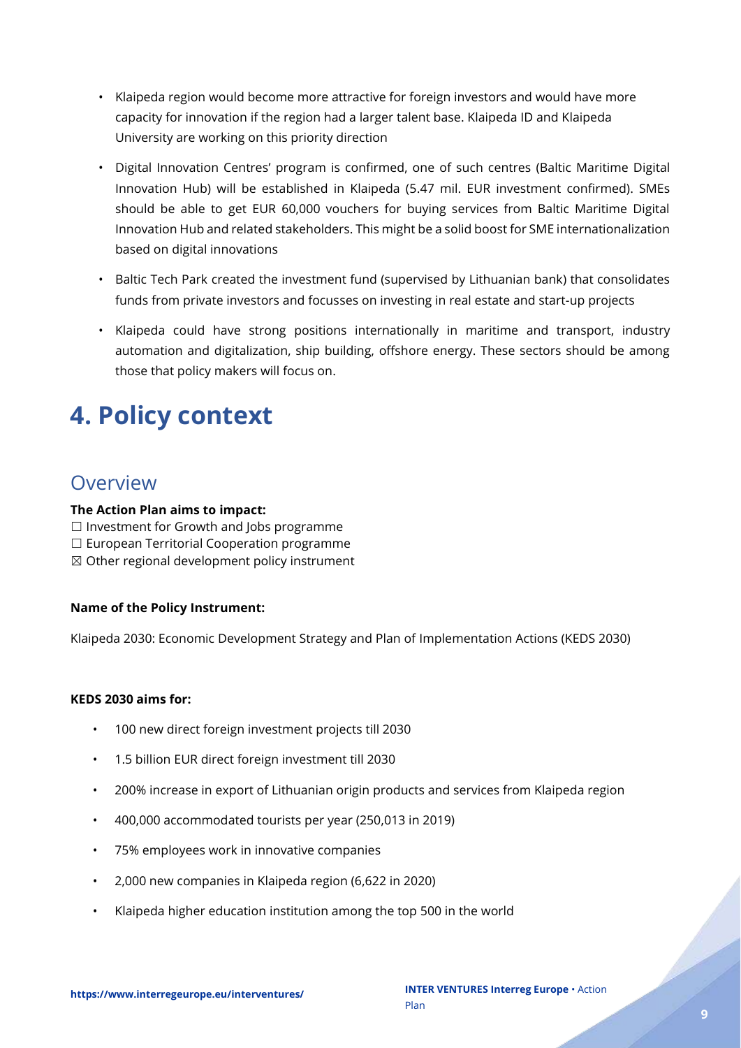- Klaipeda region would become more attractive for foreign investors and would have more capacity for innovation if the region had a larger talent base. Klaipeda ID and Klaipeda University are working on this priority direction
- Digital Innovation Centres' program is confirmed, one of such centres (Baltic Maritime Digital Innovation Hub) will be established in Klaipeda (5.47 mil. EUR investment confirmed). SMEs should be able to get EUR 60,000 vouchers for buying services from Baltic Maritime Digital Innovation Hub and related stakeholders. This might be a solid boost for SME internationalization based on digital innovations
- Baltic Tech Park created the investment fund (supervised by Lithuanian bank) that consolidates funds from private investors and focusses on investing in real estate and start-up projects
- Klaipeda could have strong positions internationally in maritime and transport, industry automation and digitalization, ship building, offshore energy. These sectors should be among those that policy makers will focus on.

# <span id="page-8-0"></span>**4. Policy context**

### <span id="page-8-1"></span>**Overview**

#### **The Action Plan aims to impact:**

- ☐ Investment for Growth and Jobs programme
- ☐ European Territorial Cooperation programme
- $\boxtimes$  Other regional development policy instrument

#### **Name of the Policy Instrument:**

Klaipeda 2030: Economic Development Strategy and Plan of Implementation Actions (KEDS 2030)

#### **KEDS 2030 aims for:**

- 100 new direct foreign investment projects till 2030
- 1.5 billion EUR direct foreign investment till 2030
- 200% increase in export of Lithuanian origin products and services from Klaipeda region
- 400,000 accommodated tourists per year (250,013 in 2019)
- 75% employees work in innovative companies
- 2,000 new companies in Klaipeda region (6,622 in 2020)
- Klaipeda higher education institution among the top 500 in the world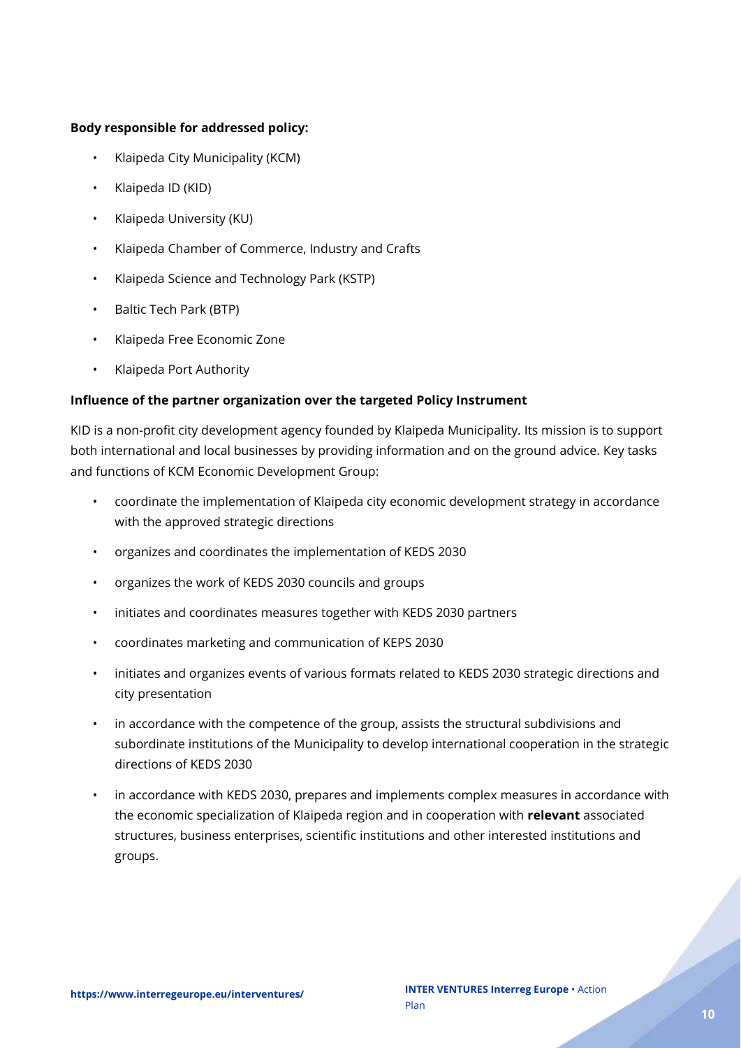#### **Body responsible for addressed policy:**

- Klaipeda City Municipality (KCM)
- Klaipeda ID (KID)
- Klaipeda University (KU)
- Klaipeda Chamber of Commerce, Industry and Crafts
- Klaipeda Science and Technology Park (KSTP)
- Baltic Tech Park (BTP)
- Klaipeda Free Economic Zone
- Klaipeda Port Authority

#### **Influence of the partner organization over the targeted Policy Instrument**

KID is a non-profit city development agency founded by Klaipeda Municipality. Its mission is to support both international and local businesses by providing information and on the ground advice. Key tasks and functions of KCM Economic Development Group:

- coordinate the implementation of Klaipeda city economic development strategy in accordance with the approved strategic directions
- organizes and coordinates the implementation of KEDS 2030
- organizes the work of KEDS 2030 councils and groups
- initiates and coordinates measures together with KEDS 2030 partners
- coordinates marketing and communication of KEPS 2030
- initiates and organizes events of various formats related to KEDS 2030 strategic directions and city presentation
- in accordance with the competence of the group, assists the structural subdivisions and subordinate institutions of the Municipality to develop international cooperation in the strategic directions of KEDS 2030
- in accordance with KEDS 2030, prepares and implements complex measures in accordance with the economic specialization of Klaipeda region and in cooperation with **relevant** associated structures, business enterprises, scientific institutions and other interested institutions and groups.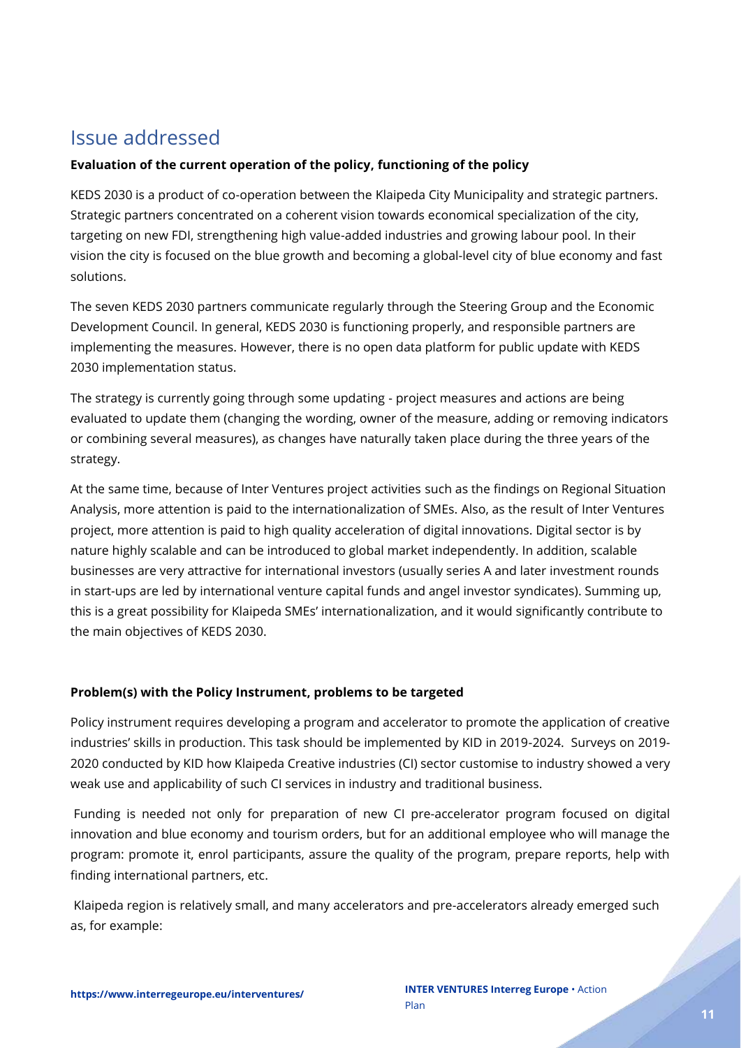### <span id="page-10-0"></span>Issue addressed

#### **Evaluation of the current operation of the policy, functioning of the policy**

KEDS 2030 is a product of co-operation between the Klaipeda City Municipality and strategic partners. Strategic partners concentrated on a coherent vision towards economical specialization of the city, targeting on new FDI, strengthening high value-added industries and growing labour pool. In their vision the city is focused on the blue growth and becoming a global-level city of blue economy and fast solutions.

The seven KEDS 2030 partners communicate regularly through the Steering Group and the Economic Development Council. In general, KEDS 2030 is functioning properly, and responsible partners are implementing the measures. However, there is no open data platform for public update with KEDS 2030 implementation status.

The strategy is currently going through some updating - project measures and actions are being evaluated to update them (changing the wording, owner of the measure, adding or removing indicators or combining several measures), as changes have naturally taken place during the three years of the strategy.

At the same time, because of Inter Ventures project activities such as the findings on Regional Situation Analysis, more attention is paid to the internationalization of SMEs. Also, as the result of Inter Ventures project, more attention is paid to high quality acceleration of digital innovations. Digital sector is by nature highly scalable and can be introduced to global market independently. In addition, scalable businesses are very attractive for international investors (usually series A and later investment rounds in start-ups are led by international venture capital funds and angel investor syndicates). Summing up, this is a great possibility for Klaipeda SMEs' internationalization, and it would significantly contribute to the main objectives of KEDS 2030.

#### **Problem(s) with the Policy Instrument, problems to be targeted**

Policy instrument requires developing a program and accelerator to promote the application of creative industries' skills in production. This task should be implemented by KID in 2019-2024. Surveys on 2019- 2020 conducted by KID how Klaipeda Creative industries (CI) sector customise to industry showed a very weak use and applicability of such CI services in industry and traditional business.

Funding is needed not only for preparation of new CI pre-accelerator program focused on digital innovation and blue economy and tourism orders, but for an additional employee who will manage the program: promote it, enrol participants, assure the quality of the program, prepare reports, help with finding international partners, etc.

Klaipeda region is relatively small, and many accelerators and pre-accelerators already emerged such as, for example: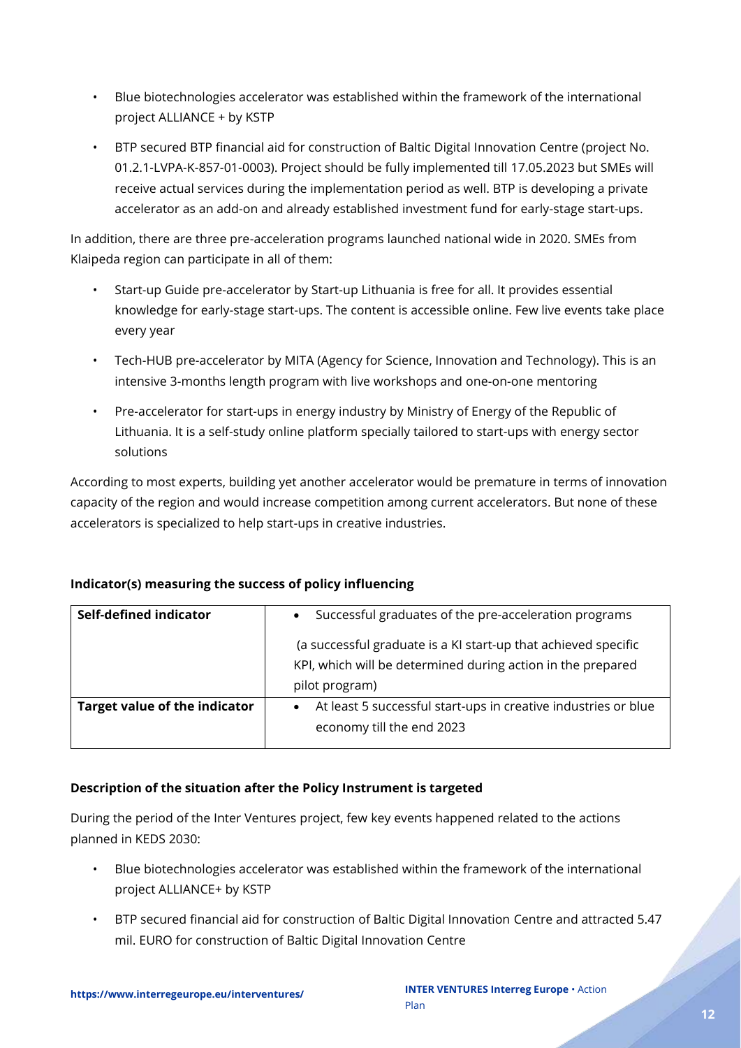- Blue biotechnologies accelerator was established within the framework of the international project ALLIANCE + by KSTP
- BTP secured BTP financial aid for construction of Baltic Digital Innovation Centre (project No. 01.2.1-LVPA-K-857-01-0003). Project should be fully implemented till 17.05.2023 but SMEs will receive actual services during the implementation period as well. BTP is developing a private accelerator as an add-on and already established investment fund for early-stage start-ups.

In addition, there are three pre-acceleration programs launched national wide in 2020. SMEs from Klaipeda region can participate in all of them:

- Start-up Guide pre-accelerator by Start-up Lithuania is free for all. It provides essential knowledge for early-stage start-ups. The content is accessible online. Few live events take place every year
- Tech-HUB pre-accelerator by MITA (Agency for Science, Innovation and Technology). This is an intensive 3-months length program with live workshops and one-on-one mentoring
- Pre-accelerator for start-ups in energy industry by Ministry of Energy of the Republic of Lithuania. It is a self-study online platform specially tailored to start-ups with energy sector solutions

According to most experts, building yet another accelerator would be premature in terms of innovation capacity of the region and would increase competition among current accelerators. But none of these accelerators is specialized to help start-ups in creative industries.

### **Indicator(s) measuring the success of policy influencing**

| Self-defined indicator        | Successful graduates of the pre-acceleration programs<br>$\bullet$                                                                              |  |  |  |  |
|-------------------------------|-------------------------------------------------------------------------------------------------------------------------------------------------|--|--|--|--|
|                               | (a successful graduate is a KI start-up that achieved specific<br>KPI, which will be determined during action in the prepared<br>pilot program) |  |  |  |  |
| Target value of the indicator | At least 5 successful start-ups in creative industries or blue<br>economy till the end 2023                                                     |  |  |  |  |
|                               |                                                                                                                                                 |  |  |  |  |

### **Description of the situation after the Policy Instrument is targeted**

During the period of the Inter Ventures project, few key events happened related to the actions planned in KEDS 2030:

- Blue biotechnologies accelerator was established within the framework of the international project ALLIANCE+ by KSTP
- BTP secured financial aid for construction of Baltic Digital Innovation Centre and attracted 5.47 mil. EURO for construction of Baltic Digital Innovation Centre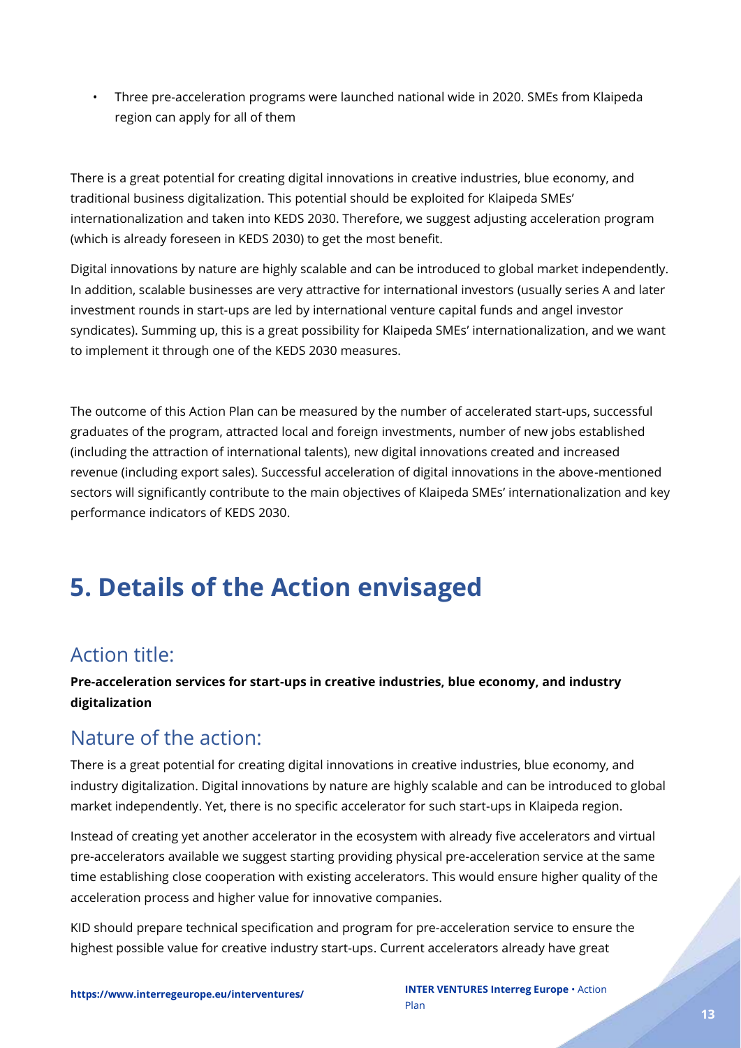• Three pre-acceleration programs were launched national wide in 2020. SMEs from Klaipeda region can apply for all of them

There is a great potential for creating digital innovations in creative industries, blue economy, and traditional business digitalization. This potential should be exploited for Klaipeda SMEs' internationalization and taken into KEDS 2030. Therefore, we suggest adjusting acceleration program (which is already foreseen in KEDS 2030) to get the most benefit.

Digital innovations by nature are highly scalable and can be introduced to global market independently. In addition, scalable businesses are very attractive for international investors (usually series A and later investment rounds in start-ups are led by international venture capital funds and angel investor syndicates). Summing up, this is a great possibility for Klaipeda SMEs' internationalization, and we want to implement it through one of the KEDS 2030 measures.

The outcome of this Action Plan can be measured by the number of accelerated start-ups, successful graduates of the program, attracted local and foreign investments, number of new jobs established (including the attraction of international talents), new digital innovations created and increased revenue (including export sales). Successful acceleration of digital innovations in the above-mentioned sectors will significantly contribute to the main objectives of Klaipeda SMEs' internationalization and key performance indicators of KEDS 2030.

# <span id="page-12-0"></span>**5. Details of the Action envisaged**

### <span id="page-12-1"></span>Action title:

**Pre-acceleration services for start-ups in creative industries, blue economy, and industry digitalization**

### <span id="page-12-2"></span>Nature of the action:

There is a great potential for creating digital innovations in creative industries, blue economy, and industry digitalization. Digital innovations by nature are highly scalable and can be introduced to global market independently. Yet, there is no specific accelerator for such start-ups in Klaipeda region.

Instead of creating yet another accelerator in the ecosystem with already five accelerators and virtual pre-accelerators available we suggest starting providing physical pre-acceleration service at the same time establishing close cooperation with existing accelerators. This would ensure higher quality of the acceleration process and higher value for innovative companies.

KID should prepare technical specification and program for pre-acceleration service to ensure the highest possible value for creative industry start-ups. Current accelerators already have great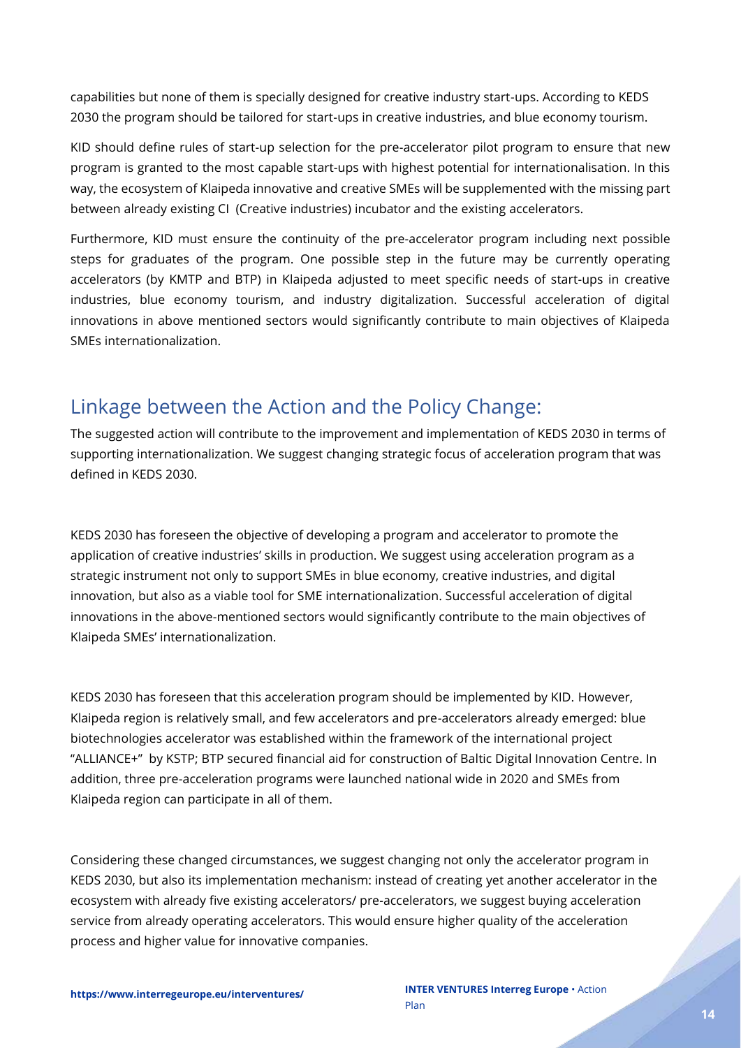capabilities but none of them is specially designed for creative industry start-ups. According to KEDS 2030 the program should be tailored for start-ups in creative industries, and blue economy tourism.

KID should define rules of start-up selection for the pre-accelerator pilot program to ensure that new program is granted to the most capable start-ups with highest potential for internationalisation. In this way, the ecosystem of Klaipeda innovative and creative SMEs will be supplemented with the missing part between already existing CI (Creative industries) incubator and the existing accelerators.

Furthermore, KID must ensure the continuity of the pre-accelerator program including next possible steps for graduates of the program. One possible step in the future may be currently operating accelerators (by KMTP and BTP) in Klaipeda adjusted to meet specific needs of start-ups in creative industries, blue economy tourism, and industry digitalization. Successful acceleration of digital innovations in above mentioned sectors would significantly contribute to main objectives of Klaipeda SMEs internationalization.

### <span id="page-13-0"></span>Linkage between the Action and the Policy Change:

The suggested action will contribute to the improvement and implementation of KEDS 2030 in terms of supporting internationalization. We suggest changing strategic focus of acceleration program that was defined in KEDS 2030.

KEDS 2030 has foreseen the objective of developing a program and accelerator to promote the application of creative industries' skills in production. We suggest using acceleration program as a strategic instrument not only to support SMEs in blue economy, creative industries, and digital innovation, but also as a viable tool for SME internationalization. Successful acceleration of digital innovations in the above-mentioned sectors would significantly contribute to the main objectives of Klaipeda SMEs' internationalization.

KEDS 2030 has foreseen that this acceleration program should be implemented by KID. However, Klaipeda region is relatively small, and few accelerators and pre-accelerators already emerged: blue biotechnologies accelerator was established within the framework of the international project "ALLIANCE+" by KSTP; BTP secured financial aid for construction of Baltic Digital Innovation Centre. In addition, three pre-acceleration programs were launched national wide in 2020 and SMEs from Klaipeda region can participate in all of them.

Considering these changed circumstances, we suggest changing not only the accelerator program in KEDS 2030, but also its implementation mechanism: instead of creating yet another accelerator in the ecosystem with already five existing accelerators/ pre-accelerators, we suggest buying acceleration service from already operating accelerators. This would ensure higher quality of the acceleration process and higher value for innovative companies.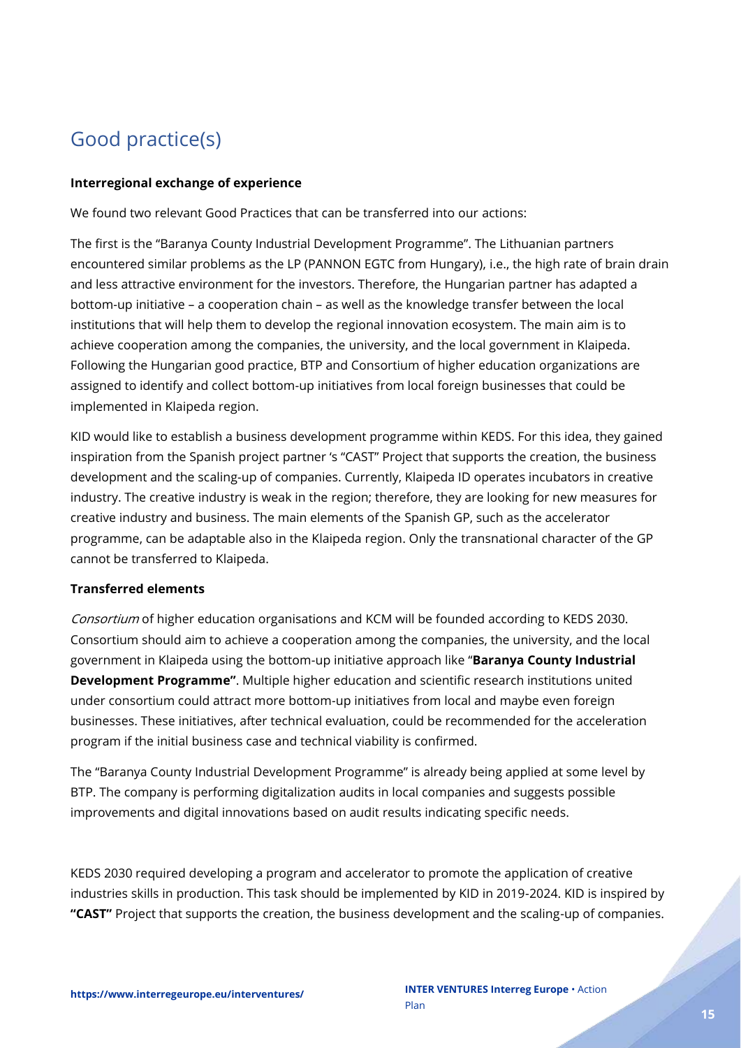### <span id="page-14-0"></span>Good practice(s)

#### **Interregional exchange of experience**

We found two relevant Good Practices that can be transferred into our actions:

The first is the "Baranya County Industrial Development Programme". The Lithuanian partners encountered similar problems as the LP (PANNON EGTC from Hungary), i.e., the high rate of brain drain and less attractive environment for the investors. Therefore, the Hungarian partner has adapted a bottom-up initiative – a cooperation chain – as well as the knowledge transfer between the local institutions that will help them to develop the regional innovation ecosystem. The main aim is to achieve cooperation among the companies, the university, and the local government in Klaipeda. Following the Hungarian good practice, BTP and Consortium of higher education organizations are assigned to identify and collect bottom-up initiatives from local foreign businesses that could be implemented in Klaipeda region.

KID would like to establish a business development programme within KEDS. For this idea, they gained inspiration from the Spanish project partner 's "CAST" Project that supports the creation, the business development and the scaling-up of companies. Currently, Klaipeda ID operates incubators in creative industry. The creative industry is weak in the region; therefore, they are looking for new measures for creative industry and business. The main elements of the Spanish GP, such as the accelerator programme, can be adaptable also in the Klaipeda region. Only the transnational character of the GP cannot be transferred to Klaipeda.

#### **Transferred elements**

Consortium of higher education organisations and KCM will be founded according to KEDS 2030. Consortium should aim to achieve a cooperation among the companies, the university, and the local government in Klaipeda using the bottom-up initiative approach like "**Baranya County Industrial Development Programme"**. Multiple higher education and scientific research institutions united under consortium could attract more bottom-up initiatives from local and maybe even foreign businesses. These initiatives, after technical evaluation, could be recommended for the acceleration program if the initial business case and technical viability is confirmed.

The "Baranya County Industrial Development Programme" is already being applied at some level by BTP. The company is performing digitalization audits in local companies and suggests possible improvements and digital innovations based on audit results indicating specific needs.

KEDS 2030 required developing a program and accelerator to promote the application of creative industries skills in production. This task should be implemented by KID in 2019-2024. KID is inspired by **"CAST"** Project that supports the creation, the business development and the scaling-up of companies.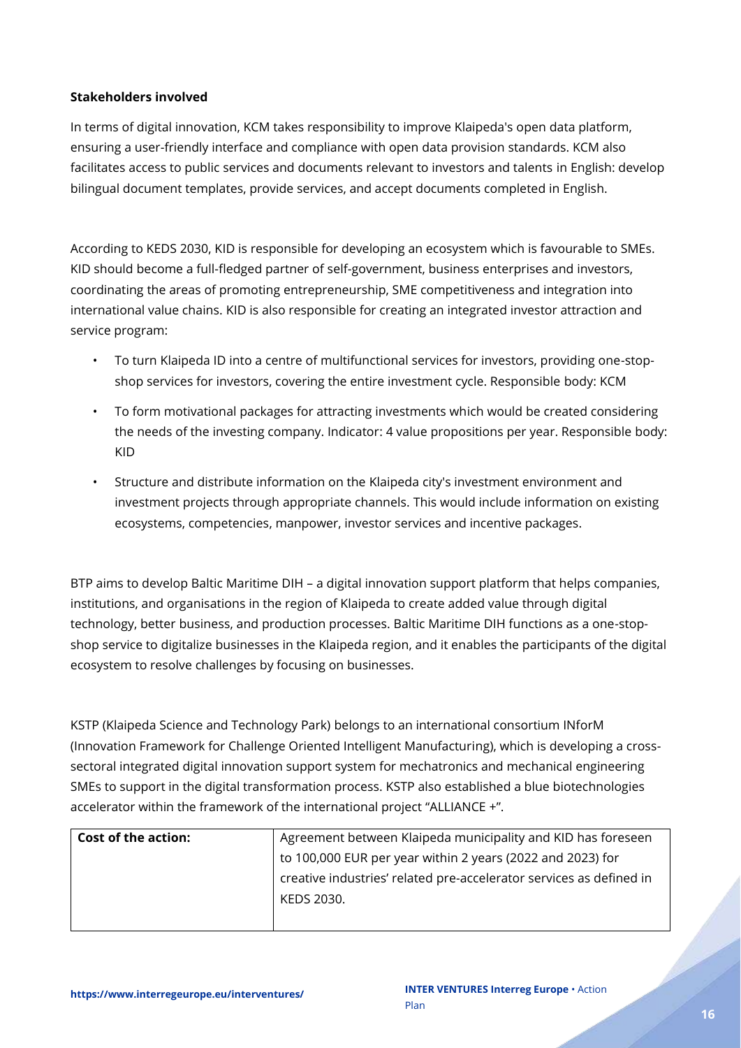#### **Stakeholders involved**

In terms of digital innovation, KCM takes responsibility to improve Klaipeda's open data platform, ensuring a user-friendly interface and compliance with open data provision standards. KCM also facilitates access to public services and documents relevant to investors and talents in English: develop bilingual document templates, provide services, and accept documents completed in English.

According to KEDS 2030, KID is responsible for developing an ecosystem which is favourable to SMEs. KID should become a full-fledged partner of self-government, business enterprises and investors, coordinating the areas of promoting entrepreneurship, SME competitiveness and integration into international value chains. KID is also responsible for creating an integrated investor attraction and service program:

- To turn Klaipeda ID into a centre of multifunctional services for investors, providing one-stopshop services for investors, covering the entire investment cycle. Responsible body: KCM
- To form motivational packages for attracting investments which would be created considering the needs of the investing company. Indicator: 4 value propositions per year. Responsible body: KID
- Structure and distribute information on the Klaipeda city's investment environment and investment projects through appropriate channels. This would include information on existing ecosystems, competencies, manpower, investor services and incentive packages.

BTP aims to develop Baltic Maritime DIH – a digital innovation support platform that helps companies, institutions, and organisations in the region of Klaipeda to create added value through digital technology, better business, and production processes. Baltic Maritime DIH functions as a one-stopshop service to digitalize businesses in the Klaipeda region, and it enables the participants of the digital ecosystem to resolve challenges by focusing on businesses.

KSTP (Klaipeda Science and Technology Park) belongs to an international consortium INforM (Innovation Framework for Challenge Oriented Intelligent Manufacturing), which is developing a crosssectoral integrated digital innovation support system for mechatronics and mechanical engineering SMEs to support in the digital transformation process. KSTP also established a blue biotechnologies accelerator within the framework of the international project "ALLIANCE +".

| <b>Cost of the action:</b> | Agreement between Klaipeda municipality and KID has foreseen        |
|----------------------------|---------------------------------------------------------------------|
|                            | to 100,000 EUR per year within 2 years (2022 and 2023) for          |
|                            | creative industries' related pre-accelerator services as defined in |
|                            | KEDS 2030.                                                          |
|                            |                                                                     |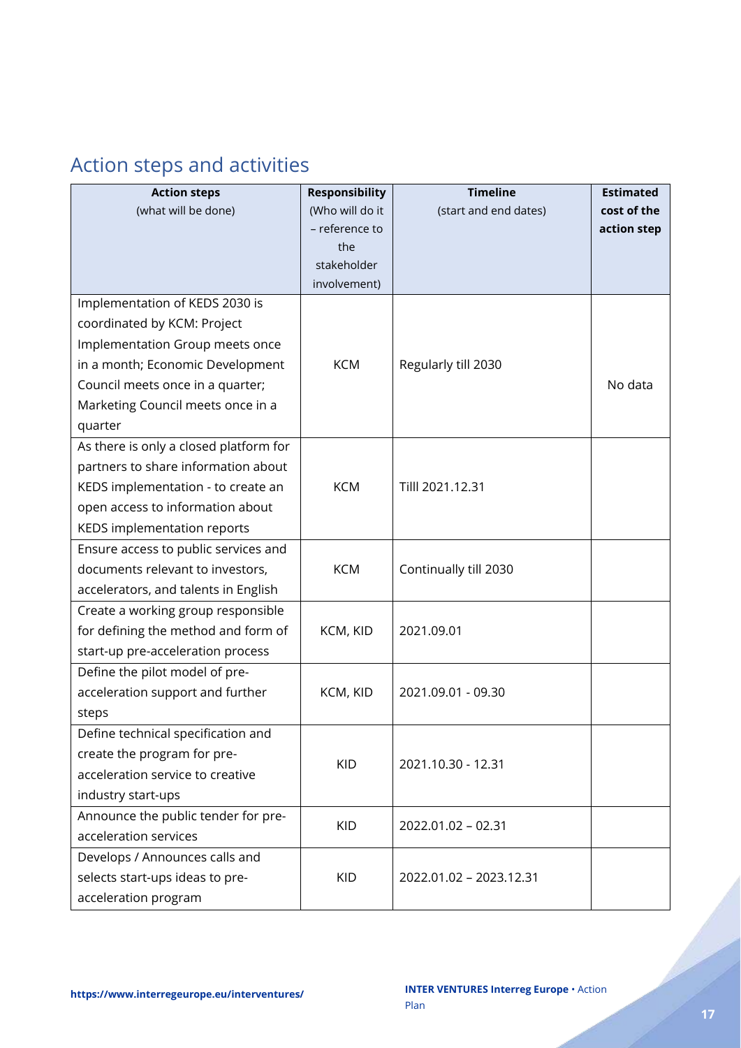## <span id="page-16-0"></span>Action steps and activities

| <b>Action steps</b>                    | <b>Responsibility</b> | <b>Timeline</b>         | <b>Estimated</b> |
|----------------------------------------|-----------------------|-------------------------|------------------|
| (what will be done)                    | (Who will do it       | (start and end dates)   | cost of the      |
|                                        | - reference to        |                         | action step      |
|                                        | the                   |                         |                  |
|                                        | stakeholder           |                         |                  |
|                                        | involvement)          |                         |                  |
| Implementation of KEDS 2030 is         |                       |                         |                  |
| coordinated by KCM: Project            |                       |                         |                  |
| Implementation Group meets once        |                       |                         |                  |
| in a month; Economic Development       | <b>KCM</b>            | Regularly till 2030     |                  |
| Council meets once in a quarter;       |                       |                         | No data          |
| Marketing Council meets once in a      |                       |                         |                  |
| quarter                                |                       |                         |                  |
| As there is only a closed platform for |                       |                         |                  |
| partners to share information about    |                       |                         |                  |
| KEDS implementation - to create an     | <b>KCM</b>            | Tilll 2021.12.31        |                  |
| open access to information about       |                       |                         |                  |
| KEDS implementation reports            |                       |                         |                  |
| Ensure access to public services and   |                       |                         |                  |
| documents relevant to investors,       | <b>KCM</b>            | Continually till 2030   |                  |
| accelerators, and talents in English   |                       |                         |                  |
| Create a working group responsible     |                       |                         |                  |
| for defining the method and form of    | KCM, KID              | 2021.09.01              |                  |
| start-up pre-acceleration process      |                       |                         |                  |
| Define the pilot model of pre-         |                       |                         |                  |
| acceleration support and further       | KCM, KID              | 2021.09.01 - 09.30      |                  |
| steps                                  |                       |                         |                  |
| Define technical specification and     |                       |                         |                  |
| create the program for pre-            | <b>KID</b>            | 2021.10.30 - 12.31      |                  |
| acceleration service to creative       |                       |                         |                  |
| industry start-ups                     |                       |                         |                  |
| Announce the public tender for pre-    |                       |                         |                  |
| acceleration services                  | <b>KID</b>            | 2022.01.02 - 02.31      |                  |
| Develops / Announces calls and         |                       |                         |                  |
| selects start-ups ideas to pre-        | <b>KID</b>            | 2022.01.02 - 2023.12.31 |                  |
| acceleration program                   |                       |                         |                  |

e de de la partida de la partida de la partida de la partida de la partida de la partida de la partida de la p<br>La partida de la partida de la partida de la partida de la partida de la partida de la partida de la partida d